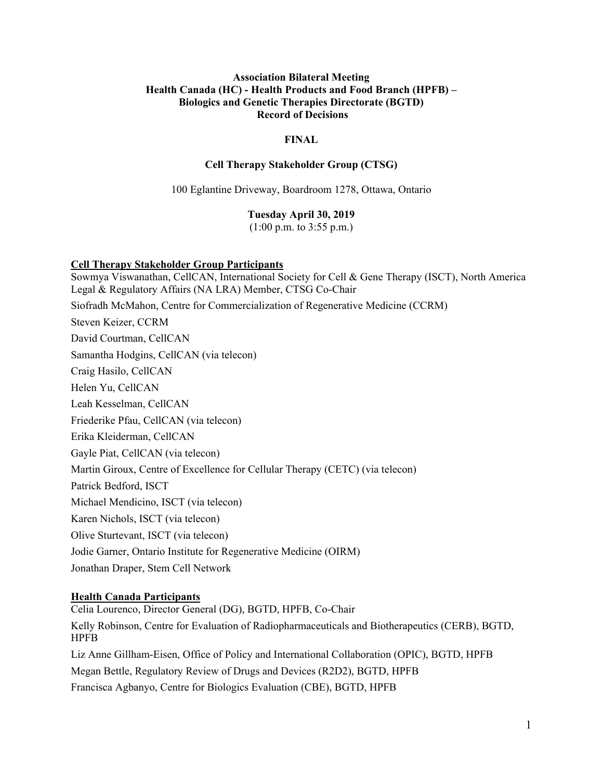#### **Association Bilateral Meeting Health Canada (HC) - Health Products and Food Branch (HPFB) – Biologics and Genetic Therapies Directorate (BGTD) Record of Decisions**

# **FINAL**

#### **Cell Therapy Stakeholder Group (CTSG)**

100 Eglantine Driveway, Boardroom 1278, Ottawa, Ontario

#### **Tuesday April 30, 2019**

(1:00 p.m. to 3:55 p.m.)

#### **Cell Therapy Stakeholder Group Participants**

Sowmya Viswanathan, CellCAN, International Society for Cell & Gene Therapy (ISCT), North America Legal & Regulatory Affairs (NA LRA) Member, CTSG Co-Chair Siofradh McMahon, Centre for Commercialization of Regenerative Medicine (CCRM) Steven Keizer, CCRM David Courtman, CellCAN Samantha Hodgins, CellCAN (via telecon) Craig Hasilo, CellCAN Helen Yu, CellCAN Leah Kesselman, CellCAN Friederike Pfau, CellCAN (via telecon) Erika Kleiderman, CellCAN Gayle Piat, CellCAN (via telecon) Martin Giroux, Centre of Excellence for Cellular Therapy (CETC) (via telecon) Patrick Bedford, ISCT Michael Mendicino, ISCT (via telecon) Karen Nichols, ISCT (via telecon) Olive Sturtevant, ISCT (via telecon) Jodie Garner, Ontario Institute for Regenerative Medicine (OIRM) Jonathan Draper, Stem Cell Network

#### **Health Canada Participants**

Celia Lourenco, Director General (DG), BGTD, HPFB, Co-Chair Kelly Robinson, Centre for Evaluation of Radiopharmaceuticals and Biotherapeutics (CERB), BGTD, HPFB Liz Anne Gillham-Eisen, Office of Policy and International Collaboration (OPIC), BGTD, HPFB Megan Bettle, Regulatory Review of Drugs and Devices (R2D2), BGTD, HPFB

Francisca Agbanyo, Centre for Biologics Evaluation (CBE), BGTD, HPFB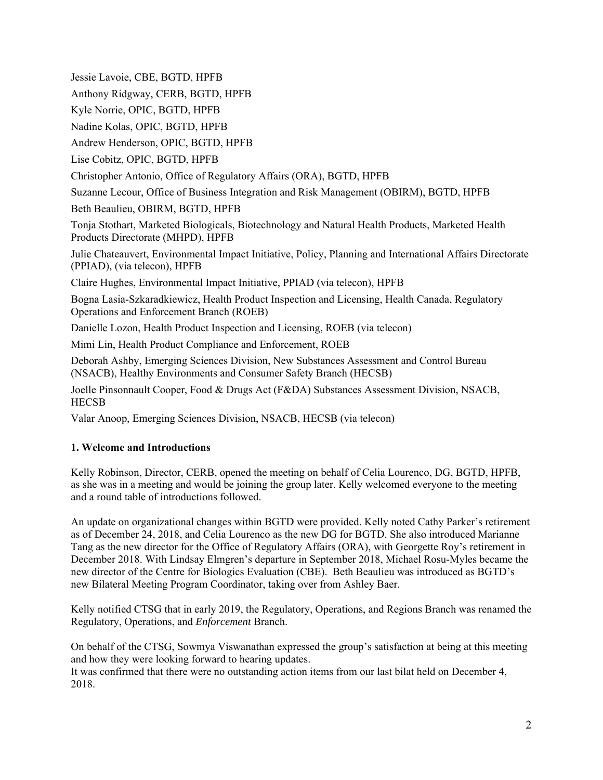Jessie Lavoie, CBE, BGTD, HPFB Anthony Ridgway, CERB, BGTD, HPFB Kyle Norrie, OPIC, BGTD, HPFB Nadine Kolas, OPIC, BGTD, HPFB Andrew Henderson, OPIC, BGTD, HPFB Lise Cobitz, OPIC, BGTD, HPFB Christopher Antonio, Office of Regulatory Affairs (ORA), BGTD, HPFB Suzanne Lecour, Office of Business Integration and Risk Management (OBIRM), BGTD, HPFB Beth Beaulieu, OBIRM, BGTD, HPFB Tonja Stothart, Marketed Biologicals, Biotechnology and Natural Health Products, Marketed Health Products Directorate (MHPD), HPFB Julie Chateauvert, Environmental Impact Initiative, Policy, Planning and International Affairs Directorate (PPIAD), (via telecon), HPFB Claire Hughes, Environmental Impact Initiative, PPIAD (via telecon), HPFB Bogna Lasia-Szkaradkiewicz, Health Product Inspection and Licensing, Health Canada, Regulatory Operations and Enforcement Branch (ROEB) Danielle Lozon, Health Product Inspection and Licensing, ROEB (via telecon) Mimi Lin, Health Product Compliance and Enforcement, ROEB Deborah Ashby, Emerging Sciences Division, New Substances Assessment and Control Bureau (NSACB), Healthy Environments and Consumer Safety Branch (HECSB)

Joelle Pinsonnault Cooper, Food & Drugs Act (F&DA) Substances Assessment Division, NSACB, **HECSB** 

Valar Anoop, Emerging Sciences Division, NSACB, HECSB (via telecon)

### **1. Welcome and Introductions**

Kelly Robinson, Director, CERB, opened the meeting on behalf of Celia Lourenco, DG, BGTD, HPFB, as she was in a meeting and would be joining the group later. Kelly welcomed everyone to the meeting and a round table of introductions followed.

An update on organizational changes within BGTD were provided. Kelly noted Cathy Parker's retirement as of December 24, 2018, and Celia Lourenco as the new DG for BGTD. She also introduced Marianne Tang as the new director for the Office of Regulatory Affairs (ORA), with Georgette Roy's retirement in December 2018. With Lindsay Elmgren's departure in September 2018, Michael Rosu-Myles became the new director of the Centre for Biologics Evaluation (CBE). Beth Beaulieu was introduced as BGTD's new Bilateral Meeting Program Coordinator, taking over from Ashley Baer.

Kelly notified CTSG that in early 2019, the Regulatory, Operations, and Regions Branch was renamed the Regulatory, Operations, and *Enforcement* Branch.

On behalf of the CTSG, Sowmya Viswanathan expressed the group's satisfaction at being at this meeting and how they were looking forward to hearing updates.

It was confirmed that there were no outstanding action items from our last bilat held on December 4, 2018.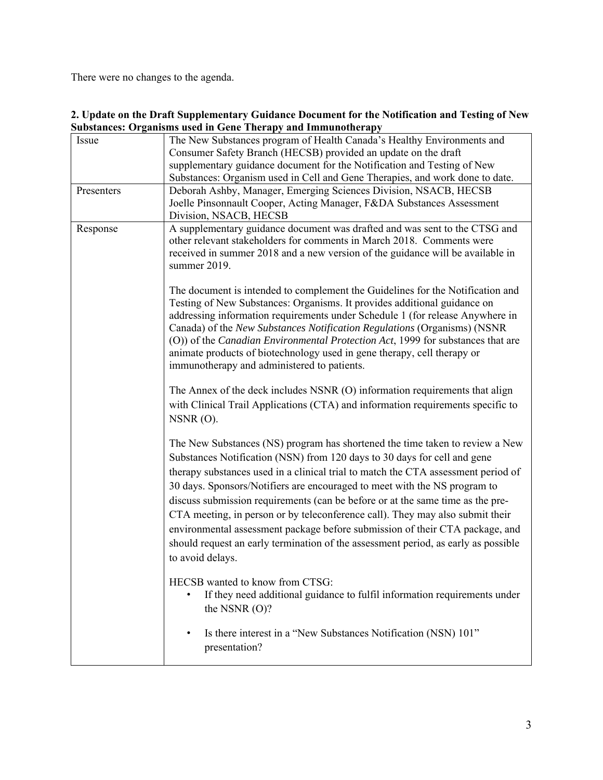There were no changes to the agenda.

| Issue      | The New Substances program of Health Canada's Healthy Environments and             |
|------------|------------------------------------------------------------------------------------|
|            | Consumer Safety Branch (HECSB) provided an update on the draft                     |
|            | supplementary guidance document for the Notification and Testing of New            |
|            | Substances: Organism used in Cell and Gene Therapies, and work done to date.       |
| Presenters | Deborah Ashby, Manager, Emerging Sciences Division, NSACB, HECSB                   |
|            | Joelle Pinsonnault Cooper, Acting Manager, F&DA Substances Assessment              |
|            | Division, NSACB, HECSB                                                             |
| Response   | A supplementary guidance document was drafted and was sent to the CTSG and         |
|            | other relevant stakeholders for comments in March 2018. Comments were              |
|            | received in summer 2018 and a new version of the guidance will be available in     |
|            | summer 2019.                                                                       |
|            |                                                                                    |
|            | The document is intended to complement the Guidelines for the Notification and     |
|            | Testing of New Substances: Organisms. It provides additional guidance on           |
|            | addressing information requirements under Schedule 1 (for release Anywhere in      |
|            | Canada) of the New Substances Notification Regulations (Organisms) (NSNR           |
|            | (O)) of the Canadian Environmental Protection Act, 1999 for substances that are    |
|            | animate products of biotechnology used in gene therapy, cell therapy or            |
|            | immunotherapy and administered to patients.                                        |
|            |                                                                                    |
|            | The Annex of the deck includes NSNR (O) information requirements that align        |
|            | with Clinical Trail Applications (CTA) and information requirements specific to    |
|            | $NSNR(0)$ .                                                                        |
|            | The New Substances (NS) program has shortened the time taken to review a New       |
|            | Substances Notification (NSN) from 120 days to 30 days for cell and gene           |
|            |                                                                                    |
|            | therapy substances used in a clinical trial to match the CTA assessment period of  |
|            | 30 days. Sponsors/Notifiers are encouraged to meet with the NS program to          |
|            | discuss submission requirements (can be before or at the same time as the pre-     |
|            | CTA meeting, in person or by teleconference call). They may also submit their      |
|            | environmental assessment package before submission of their CTA package, and       |
|            | should request an early termination of the assessment period, as early as possible |
|            | to avoid delays.                                                                   |
|            |                                                                                    |
|            | HECSB wanted to know from CTSG:                                                    |
|            | If they need additional guidance to fulfil information requirements under          |
|            | the NSNR $(O)$ ?                                                                   |
|            |                                                                                    |
|            | Is there interest in a "New Substances Notification (NSN) 101"<br>$\bullet$        |
|            | presentation?                                                                      |
|            |                                                                                    |

### **2. Update on the Draft Supplementary Guidance Document for the Notification and Testing of New Substances: Organisms used in Gene Therapy and Immunotherapy**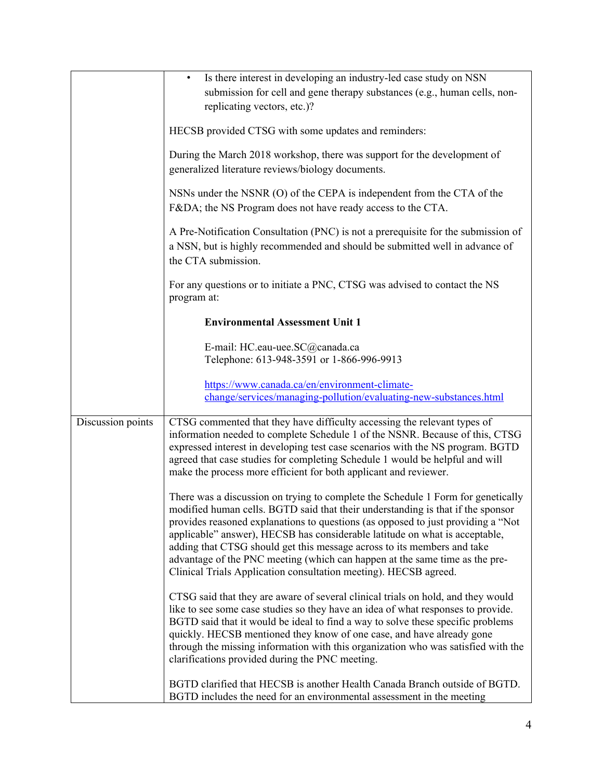|                   | Is there interest in developing an industry-led case study on NSN                                                                                                                                                                                                                                                                                                                                                                                                                                                                                                    |
|-------------------|----------------------------------------------------------------------------------------------------------------------------------------------------------------------------------------------------------------------------------------------------------------------------------------------------------------------------------------------------------------------------------------------------------------------------------------------------------------------------------------------------------------------------------------------------------------------|
|                   | submission for cell and gene therapy substances (e.g., human cells, non-                                                                                                                                                                                                                                                                                                                                                                                                                                                                                             |
|                   | replicating vectors, etc.)?                                                                                                                                                                                                                                                                                                                                                                                                                                                                                                                                          |
|                   | HECSB provided CTSG with some updates and reminders:                                                                                                                                                                                                                                                                                                                                                                                                                                                                                                                 |
|                   | During the March 2018 workshop, there was support for the development of<br>generalized literature reviews/biology documents.                                                                                                                                                                                                                                                                                                                                                                                                                                        |
|                   | NSNs under the NSNR (O) of the CEPA is independent from the CTA of the<br>F&DA the NS Program does not have ready access to the CTA.                                                                                                                                                                                                                                                                                                                                                                                                                                 |
|                   | A Pre-Notification Consultation (PNC) is not a prerequisite for the submission of<br>a NSN, but is highly recommended and should be submitted well in advance of<br>the CTA submission.                                                                                                                                                                                                                                                                                                                                                                              |
|                   | For any questions or to initiate a PNC, CTSG was advised to contact the NS<br>program at:                                                                                                                                                                                                                                                                                                                                                                                                                                                                            |
|                   | <b>Environmental Assessment Unit 1</b>                                                                                                                                                                                                                                                                                                                                                                                                                                                                                                                               |
|                   | E-mail: HC.eau-uee.SC@canada.ca<br>Telephone: 613-948-3591 or 1-866-996-9913                                                                                                                                                                                                                                                                                                                                                                                                                                                                                         |
|                   | https://www.canada.ca/en/environment-climate-                                                                                                                                                                                                                                                                                                                                                                                                                                                                                                                        |
|                   | change/services/managing-pollution/evaluating-new-substances.html                                                                                                                                                                                                                                                                                                                                                                                                                                                                                                    |
|                   |                                                                                                                                                                                                                                                                                                                                                                                                                                                                                                                                                                      |
| Discussion points | CTSG commented that they have difficulty accessing the relevant types of<br>information needed to complete Schedule 1 of the NSNR. Because of this, CTSG<br>expressed interest in developing test case scenarios with the NS program. BGTD<br>agreed that case studies for completing Schedule 1 would be helpful and will<br>make the process more efficient for both applicant and reviewer.                                                                                                                                                                       |
|                   | There was a discussion on trying to complete the Schedule 1 Form for genetically<br>modified human cells. BGTD said that their understanding is that if the sponsor<br>provides reasoned explanations to questions (as opposed to just providing a "Not<br>applicable" answer), HECSB has considerable latitude on what is acceptable,<br>adding that CTSG should get this message across to its members and take<br>advantage of the PNC meeting (which can happen at the same time as the pre-<br>Clinical Trials Application consultation meeting). HECSB agreed. |
|                   | CTSG said that they are aware of several clinical trials on hold, and they would<br>like to see some case studies so they have an idea of what responses to provide.<br>BGTD said that it would be ideal to find a way to solve these specific problems<br>quickly. HECSB mentioned they know of one case, and have already gone<br>through the missing information with this organization who was satisfied with the<br>clarifications provided during the PNC meeting.                                                                                             |
|                   | BGTD clarified that HECSB is another Health Canada Branch outside of BGTD.<br>BGTD includes the need for an environmental assessment in the meeting                                                                                                                                                                                                                                                                                                                                                                                                                  |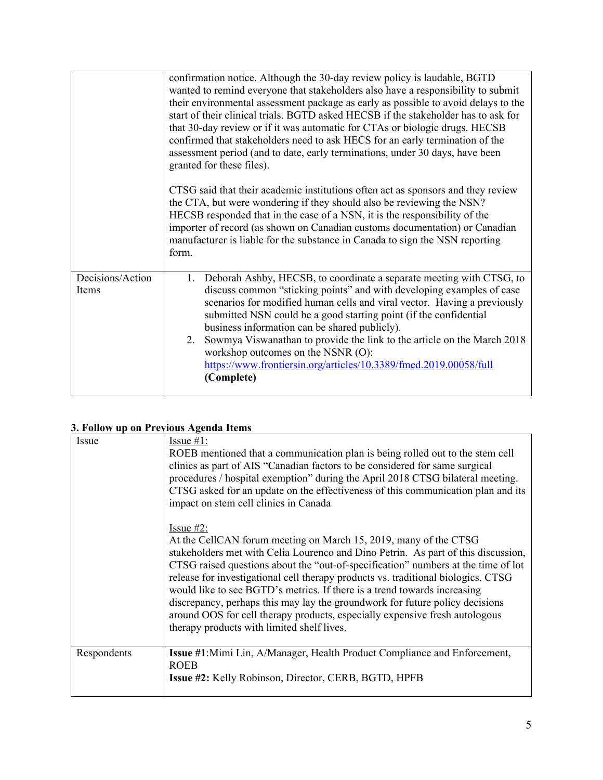|                                  | confirmation notice. Although the 30-day review policy is laudable, BGTD<br>wanted to remind everyone that stakeholders also have a responsibility to submit<br>their environmental assessment package as early as possible to avoid delays to the<br>start of their clinical trials. BGTD asked HECSB if the stakeholder has to ask for<br>that 30-day review or if it was automatic for CTAs or biologic drugs. HECSB<br>confirmed that stakeholders need to ask HECS for an early termination of the<br>assessment period (and to date, early terminations, under 30 days, have been<br>granted for these files). |
|----------------------------------|----------------------------------------------------------------------------------------------------------------------------------------------------------------------------------------------------------------------------------------------------------------------------------------------------------------------------------------------------------------------------------------------------------------------------------------------------------------------------------------------------------------------------------------------------------------------------------------------------------------------|
|                                  | CTSG said that their academic institutions often act as sponsors and they review<br>the CTA, but were wondering if they should also be reviewing the NSN?<br>HECSB responded that in the case of a NSN, it is the responsibility of the<br>importer of record (as shown on Canadian customs documentation) or Canadian<br>manufacturer is liable for the substance in Canada to sign the NSN reporting<br>form.                                                                                                                                                                                                      |
| Decisions/Action<br><b>Items</b> | 1. Deborah Ashby, HECSB, to coordinate a separate meeting with CTSG, to<br>discuss common "sticking points" and with developing examples of case<br>scenarios for modified human cells and viral vector. Having a previously<br>submitted NSN could be a good starting point (if the confidential<br>business information can be shared publicly).<br>2. Sowmya Viswanathan to provide the link to the article on the March 2018<br>workshop outcomes on the NSNR (O):<br>https://www.frontiersin.org/articles/10.3389/fmed.2019.00058/full<br>(Complete)                                                            |

## **3. Follow up on Previous Agenda Items**

| Issue       | Issue $#1$ :<br>ROEB mentioned that a communication plan is being rolled out to the stem cell<br>clinics as part of AIS "Canadian factors to be considered for same surgical<br>procedures / hospital exemption" during the April 2018 CTSG bilateral meeting.<br>CTSG asked for an update on the effectiveness of this communication plan and its<br>impact on stem cell clinics in Canada<br>Issue $#2$ :<br>At the CellCAN forum meeting on March 15, 2019, many of the CTSG<br>stakeholders met with Celia Lourenco and Dino Petrin. As part of this discussion,<br>CTSG raised questions about the "out-of-specification" numbers at the time of lot<br>release for investigational cell therapy products vs. traditional biologics. CTSG<br>would like to see BGTD's metrics. If there is a trend towards increasing<br>discrepancy, perhaps this may lay the groundwork for future policy decisions<br>around OOS for cell therapy products, especially expensive fresh autologous<br>therapy products with limited shelf lives. |
|-------------|-----------------------------------------------------------------------------------------------------------------------------------------------------------------------------------------------------------------------------------------------------------------------------------------------------------------------------------------------------------------------------------------------------------------------------------------------------------------------------------------------------------------------------------------------------------------------------------------------------------------------------------------------------------------------------------------------------------------------------------------------------------------------------------------------------------------------------------------------------------------------------------------------------------------------------------------------------------------------------------------------------------------------------------------|
| Respondents | <b>Issue #1:</b> Mimi Lin, A/Manager, Health Product Compliance and Enforcement,<br><b>ROEB</b><br><b>Issue #2: Kelly Robinson, Director, CERB, BGTD, HPFB</b>                                                                                                                                                                                                                                                                                                                                                                                                                                                                                                                                                                                                                                                                                                                                                                                                                                                                          |
|             |                                                                                                                                                                                                                                                                                                                                                                                                                                                                                                                                                                                                                                                                                                                                                                                                                                                                                                                                                                                                                                         |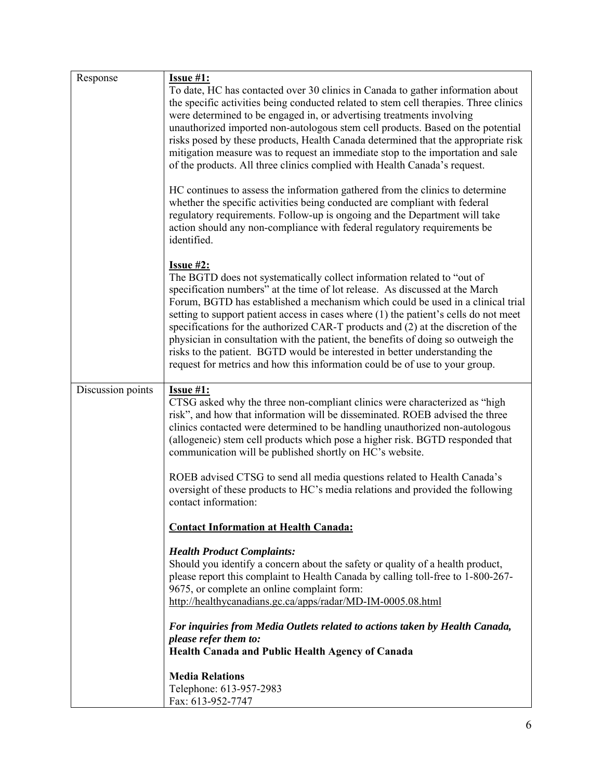| Response          | Issue #1:<br>To date, HC has contacted over 30 clinics in Canada to gather information about<br>the specific activities being conducted related to stem cell therapies. Three clinics                                                                                                                                                                                                                                                                                                                                                                                                                                                                                                         |
|-------------------|-----------------------------------------------------------------------------------------------------------------------------------------------------------------------------------------------------------------------------------------------------------------------------------------------------------------------------------------------------------------------------------------------------------------------------------------------------------------------------------------------------------------------------------------------------------------------------------------------------------------------------------------------------------------------------------------------|
|                   | were determined to be engaged in, or advertising treatments involving<br>unauthorized imported non-autologous stem cell products. Based on the potential<br>risks posed by these products, Health Canada determined that the appropriate risk<br>mitigation measure was to request an immediate stop to the importation and sale<br>of the products. All three clinics complied with Health Canada's request.                                                                                                                                                                                                                                                                                 |
|                   | HC continues to assess the information gathered from the clinics to determine<br>whether the specific activities being conducted are compliant with federal<br>regulatory requirements. Follow-up is ongoing and the Department will take<br>action should any non-compliance with federal regulatory requirements be<br>identified.                                                                                                                                                                                                                                                                                                                                                          |
|                   | <b>Issue #2:</b><br>The BGTD does not systematically collect information related to "out of<br>specification numbers" at the time of lot release. As discussed at the March<br>Forum, BGTD has established a mechanism which could be used in a clinical trial<br>setting to support patient access in cases where (1) the patient's cells do not meet<br>specifications for the authorized CAR-T products and (2) at the discretion of the<br>physician in consultation with the patient, the benefits of doing so outweigh the<br>risks to the patient. BGTD would be interested in better understanding the<br>request for metrics and how this information could be of use to your group. |
| Discussion points | <b>Issue #1:</b><br>CTSG asked why the three non-compliant clinics were characterized as "high<br>risk", and how that information will be disseminated. ROEB advised the three<br>clinics contacted were determined to be handling unauthorized non-autologous<br>(allogeneic) stem cell products which pose a higher risk. BGTD responded that<br>communication will be published shortly on HC's website.                                                                                                                                                                                                                                                                                   |
|                   | ROEB advised CTSG to send all media questions related to Health Canada's<br>oversight of these products to HC's media relations and provided the following<br>contact information:                                                                                                                                                                                                                                                                                                                                                                                                                                                                                                            |
|                   | <b>Contact Information at Health Canada:</b>                                                                                                                                                                                                                                                                                                                                                                                                                                                                                                                                                                                                                                                  |
|                   | <b>Health Product Complaints:</b><br>Should you identify a concern about the safety or quality of a health product,<br>please report this complaint to Health Canada by calling toll-free to 1-800-267-<br>9675, or complete an online complaint form:<br>http://healthycanadians.gc.ca/apps/radar/MD-IM-0005.08.html                                                                                                                                                                                                                                                                                                                                                                         |
|                   | For inquiries from Media Outlets related to actions taken by Health Canada,<br>please refer them to:<br>Health Canada and Public Health Agency of Canada                                                                                                                                                                                                                                                                                                                                                                                                                                                                                                                                      |
|                   | <b>Media Relations</b><br>Telephone: 613-957-2983<br>Fax: 613-952-7747                                                                                                                                                                                                                                                                                                                                                                                                                                                                                                                                                                                                                        |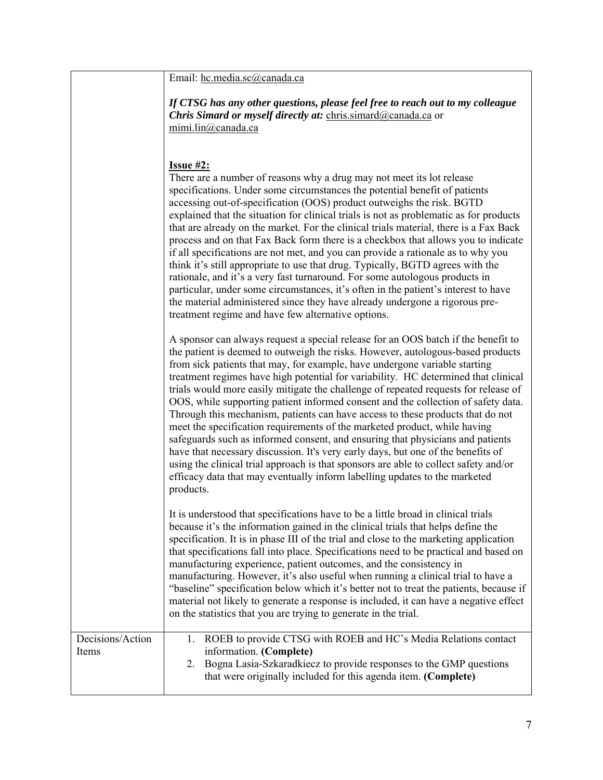|                           | Email: hc.media.sc@canada.ca                                                                                                                                                                                                                                                                                                                                                                                                                                                                                                                                                                                                                                                                                                                                                                                                                                                                                                                                                                                                                 |
|---------------------------|----------------------------------------------------------------------------------------------------------------------------------------------------------------------------------------------------------------------------------------------------------------------------------------------------------------------------------------------------------------------------------------------------------------------------------------------------------------------------------------------------------------------------------------------------------------------------------------------------------------------------------------------------------------------------------------------------------------------------------------------------------------------------------------------------------------------------------------------------------------------------------------------------------------------------------------------------------------------------------------------------------------------------------------------|
|                           | If CTSG has any other questions, please feel free to reach out to my colleague<br>Chris Simard or myself directly at: chris.simard@canada.ca or<br>mimi.lin@canada.ca                                                                                                                                                                                                                                                                                                                                                                                                                                                                                                                                                                                                                                                                                                                                                                                                                                                                        |
|                           | <b>Issue #2:</b><br>There are a number of reasons why a drug may not meet its lot release<br>specifications. Under some circumstances the potential benefit of patients<br>accessing out-of-specification (OOS) product outweighs the risk. BGTD<br>explained that the situation for clinical trials is not as problematic as for products<br>that are already on the market. For the clinical trials material, there is a Fax Back<br>process and on that Fax Back form there is a checkbox that allows you to indicate<br>if all specifications are not met, and you can provide a rationale as to why you<br>think it's still appropriate to use that drug. Typically, BGTD agrees with the<br>rationale, and it's a very fast turnaround. For some autologous products in<br>particular, under some circumstances, it's often in the patient's interest to have<br>the material administered since they have already undergone a rigorous pre-<br>treatment regime and have few alternative options.                                     |
|                           | A sponsor can always request a special release for an OOS batch if the benefit to<br>the patient is deemed to outweigh the risks. However, autologous-based products<br>from sick patients that may, for example, have undergone variable starting<br>treatment regimes have high potential for variability. HC determined that clinical<br>trials would more easily mitigate the challenge of repeated requests for release of<br>OOS, while supporting patient informed consent and the collection of safety data.<br>Through this mechanism, patients can have access to these products that do not<br>meet the specification requirements of the marketed product, while having<br>safeguards such as informed consent, and ensuring that physicians and patients<br>have that necessary discussion. It's very early days, but one of the benefits of<br>using the clinical trial approach is that sponsors are able to collect safety and/or<br>efficacy data that may eventually inform labelling updates to the marketed<br>products. |
|                           | It is understood that specifications have to be a little broad in clinical trials<br>because it's the information gained in the clinical trials that helps define the<br>specification. It is in phase III of the trial and close to the marketing application<br>that specifications fall into place. Specifications need to be practical and based on<br>manufacturing experience, patient outcomes, and the consistency in<br>manufacturing. However, it's also useful when running a clinical trial to have a<br>"baseline" specification below which it's better not to treat the patients, because if<br>material not likely to generate a response is included, it can have a negative effect<br>on the statistics that you are trying to generate in the trial.                                                                                                                                                                                                                                                                      |
| Decisions/Action<br>Items | ROEB to provide CTSG with ROEB and HC's Media Relations contact<br>1.<br>information. (Complete)<br>Bogna Lasia-Szkaradkiecz to provide responses to the GMP questions<br>2.<br>that were originally included for this agenda item. (Complete)                                                                                                                                                                                                                                                                                                                                                                                                                                                                                                                                                                                                                                                                                                                                                                                               |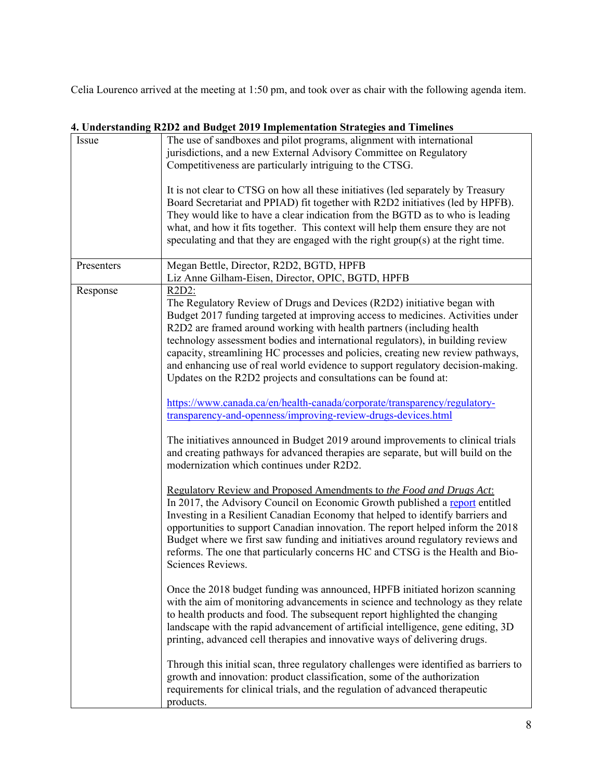Celia Lourenco arrived at the meeting at 1:50 pm, and took over as chair with the following agenda item.

|            | r. Unuvi standing K2D2 and Dudget 2017 implementation Strategies and Thilennes                                                                                                                                                                                                                                                                                                                                                                                                                                                                                                                                                                                                                                                                                                                                                                                                                                                                                                                                                                                                                                                                                                                                                                                                                                                                                                                                                                                                                                                                                                                                                                                                                                                                                                                                                                                                           |
|------------|------------------------------------------------------------------------------------------------------------------------------------------------------------------------------------------------------------------------------------------------------------------------------------------------------------------------------------------------------------------------------------------------------------------------------------------------------------------------------------------------------------------------------------------------------------------------------------------------------------------------------------------------------------------------------------------------------------------------------------------------------------------------------------------------------------------------------------------------------------------------------------------------------------------------------------------------------------------------------------------------------------------------------------------------------------------------------------------------------------------------------------------------------------------------------------------------------------------------------------------------------------------------------------------------------------------------------------------------------------------------------------------------------------------------------------------------------------------------------------------------------------------------------------------------------------------------------------------------------------------------------------------------------------------------------------------------------------------------------------------------------------------------------------------------------------------------------------------------------------------------------------------|
| Issue      | The use of sandboxes and pilot programs, alignment with international                                                                                                                                                                                                                                                                                                                                                                                                                                                                                                                                                                                                                                                                                                                                                                                                                                                                                                                                                                                                                                                                                                                                                                                                                                                                                                                                                                                                                                                                                                                                                                                                                                                                                                                                                                                                                    |
|            | jurisdictions, and a new External Advisory Committee on Regulatory                                                                                                                                                                                                                                                                                                                                                                                                                                                                                                                                                                                                                                                                                                                                                                                                                                                                                                                                                                                                                                                                                                                                                                                                                                                                                                                                                                                                                                                                                                                                                                                                                                                                                                                                                                                                                       |
|            | Competitiveness are particularly intriguing to the CTSG.                                                                                                                                                                                                                                                                                                                                                                                                                                                                                                                                                                                                                                                                                                                                                                                                                                                                                                                                                                                                                                                                                                                                                                                                                                                                                                                                                                                                                                                                                                                                                                                                                                                                                                                                                                                                                                 |
|            | It is not clear to CTSG on how all these initiatives (led separately by Treasury<br>Board Secretariat and PPIAD) fit together with R2D2 initiatives (led by HPFB).<br>They would like to have a clear indication from the BGTD as to who is leading<br>what, and how it fits together. This context will help them ensure they are not<br>speculating and that they are engaged with the right group(s) at the right time.                                                                                                                                                                                                                                                                                                                                                                                                                                                                                                                                                                                                                                                                                                                                                                                                                                                                                                                                                                                                                                                                                                                                                                                                                                                                                                                                                                                                                                                               |
| Presenters | Megan Bettle, Director, R2D2, BGTD, HPFB<br>Liz Anne Gilham-Eisen, Director, OPIC, BGTD, HPFB                                                                                                                                                                                                                                                                                                                                                                                                                                                                                                                                                                                                                                                                                                                                                                                                                                                                                                                                                                                                                                                                                                                                                                                                                                                                                                                                                                                                                                                                                                                                                                                                                                                                                                                                                                                            |
| Response   | $R2D2$ :<br>The Regulatory Review of Drugs and Devices (R2D2) initiative began with<br>Budget 2017 funding targeted at improving access to medicines. Activities under<br>R2D2 are framed around working with health partners (including health<br>technology assessment bodies and international regulators), in building review<br>capacity, streamlining HC processes and policies, creating new review pathways,<br>and enhancing use of real world evidence to support regulatory decision-making.<br>Updates on the R2D2 projects and consultations can be found at:<br>https://www.canada.ca/en/health-canada/corporate/transparency/regulatory-<br>transparency-and-openness/improving-review-drugs-devices.html<br>The initiatives announced in Budget 2019 around improvements to clinical trials<br>and creating pathways for advanced therapies are separate, but will build on the<br>modernization which continues under R2D2.<br>Regulatory Review and Proposed Amendments to the Food and Drugs Act:<br>In 2017, the Advisory Council on Economic Growth published a report entitled<br>Investing in a Resilient Canadian Economy that helped to identify barriers and<br>opportunities to support Canadian innovation. The report helped inform the 2018<br>Budget where we first saw funding and initiatives around regulatory reviews and<br>reforms. The one that particularly concerns HC and CTSG is the Health and Bio-<br>Sciences Reviews.<br>Once the 2018 budget funding was announced, HPFB initiated horizon scanning<br>with the aim of monitoring advancements in science and technology as they relate<br>to health products and food. The subsequent report highlighted the changing<br>landscape with the rapid advancement of artificial intelligence, gene editing, 3D<br>printing, advanced cell therapies and innovative ways of delivering drugs. |
|            | Through this initial scan, three regulatory challenges were identified as barriers to<br>growth and innovation: product classification, some of the authorization<br>requirements for clinical trials, and the regulation of advanced therapeutic<br>products.                                                                                                                                                                                                                                                                                                                                                                                                                                                                                                                                                                                                                                                                                                                                                                                                                                                                                                                                                                                                                                                                                                                                                                                                                                                                                                                                                                                                                                                                                                                                                                                                                           |

# **4. Understanding R2D2 and Budget 2019 Implementation Strategies and Timelines**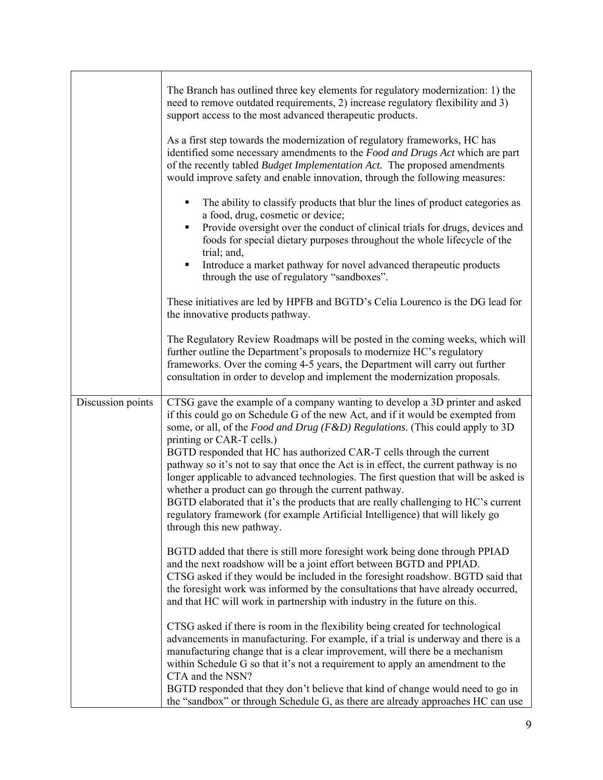|                   | The Branch has outlined three key elements for regulatory modernization: 1) the<br>need to remove outdated requirements, 2) increase regulatory flexibility and 3)<br>support access to the most advanced therapeutic products.                                                                                                                                                                                                                                                                                                                                                                                                                                                                                                                                                                      |
|-------------------|------------------------------------------------------------------------------------------------------------------------------------------------------------------------------------------------------------------------------------------------------------------------------------------------------------------------------------------------------------------------------------------------------------------------------------------------------------------------------------------------------------------------------------------------------------------------------------------------------------------------------------------------------------------------------------------------------------------------------------------------------------------------------------------------------|
|                   | As a first step towards the modernization of regulatory frameworks, HC has<br>identified some necessary amendments to the Food and Drugs Act which are part<br>of the recently tabled <i>Budget Implementation Act</i> . The proposed amendments<br>would improve safety and enable innovation, through the following measures:                                                                                                                                                                                                                                                                                                                                                                                                                                                                      |
|                   | The ability to classify products that blur the lines of product categories as<br>٠<br>a food, drug, cosmetic or device;<br>Provide oversight over the conduct of clinical trials for drugs, devices and<br>٠<br>foods for special dietary purposes throughout the whole lifecycle of the<br>trial; and,                                                                                                                                                                                                                                                                                                                                                                                                                                                                                              |
|                   | Introduce a market pathway for novel advanced therapeutic products<br>٠<br>through the use of regulatory "sandboxes".                                                                                                                                                                                                                                                                                                                                                                                                                                                                                                                                                                                                                                                                                |
|                   | These initiatives are led by HPFB and BGTD's Celia Lourenco is the DG lead for<br>the innovative products pathway.                                                                                                                                                                                                                                                                                                                                                                                                                                                                                                                                                                                                                                                                                   |
|                   | The Regulatory Review Roadmaps will be posted in the coming weeks, which will<br>further outline the Department's proposals to modernize HC's regulatory<br>frameworks. Over the coming 4-5 years, the Department will carry out further<br>consultation in order to develop and implement the modernization proposals.                                                                                                                                                                                                                                                                                                                                                                                                                                                                              |
| Discussion points | CTSG gave the example of a company wanting to develop a 3D printer and asked<br>if this could go on Schedule G of the new Act, and if it would be exempted from<br>some, or all, of the Food and Drug (F&D) Regulations. (This could apply to 3D<br>printing or CAR-T cells.)<br>BGTD responded that HC has authorized CAR-T cells through the current<br>pathway so it's not to say that once the Act is in effect, the current pathway is no<br>longer applicable to advanced technologies. The first question that will be asked is<br>whether a product can go through the current pathway.<br>BGTD elaborated that it's the products that are really challenging to HC's current<br>regulatory framework (for example Artificial Intelligence) that will likely go<br>through this new pathway. |
|                   | BGTD added that there is still more foresight work being done through PPIAD<br>and the next roadshow will be a joint effort between BGTD and PPIAD.<br>CTSG asked if they would be included in the foresight roadshow. BGTD said that<br>the foresight work was informed by the consultations that have already occurred,<br>and that HC will work in partnership with industry in the future on this.                                                                                                                                                                                                                                                                                                                                                                                               |
|                   | CTSG asked if there is room in the flexibility being created for technological<br>advancements in manufacturing. For example, if a trial is underway and there is a<br>manufacturing change that is a clear improvement, will there be a mechanism<br>within Schedule G so that it's not a requirement to apply an amendment to the<br>CTA and the NSN?<br>BGTD responded that they don't believe that kind of change would need to go in                                                                                                                                                                                                                                                                                                                                                            |
|                   | the "sandbox" or through Schedule G, as there are already approaches HC can use                                                                                                                                                                                                                                                                                                                                                                                                                                                                                                                                                                                                                                                                                                                      |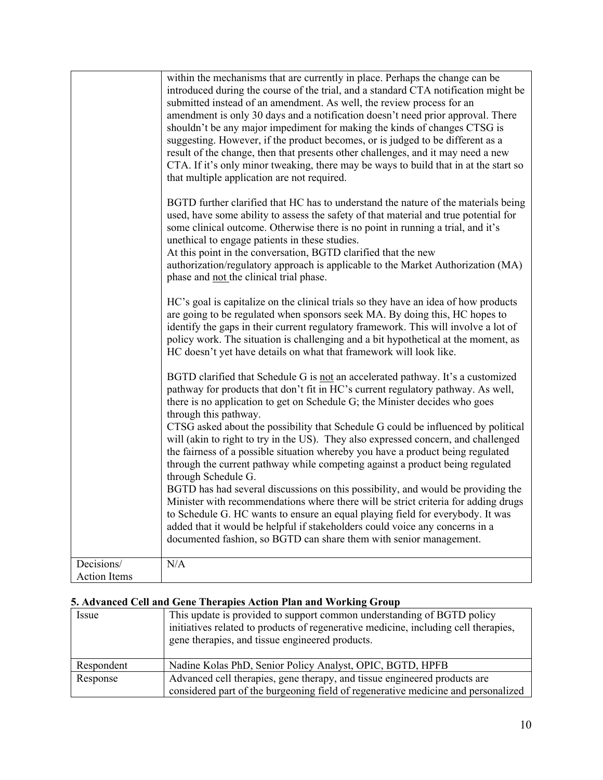| BGTD further clarified that HC has to understand the nature of the materials being<br>used, have some ability to assess the safety of that material and true potential for<br>some clinical outcome. Otherwise there is no point in running a trial, and it's<br>unethical to engage patients in these studies.<br>At this point in the conversation, BGTD clarified that the new<br>authorization/regulatory approach is applicable to the Market Authorization (MA)<br>phase and not the clinical trial phase. |
|------------------------------------------------------------------------------------------------------------------------------------------------------------------------------------------------------------------------------------------------------------------------------------------------------------------------------------------------------------------------------------------------------------------------------------------------------------------------------------------------------------------|
| HC's goal is capitalize on the clinical trials so they have an idea of how products<br>are going to be regulated when sponsors seek MA. By doing this, HC hopes to<br>identify the gaps in their current regulatory framework. This will involve a lot of<br>policy work. The situation is challenging and a bit hypothetical at the moment, as<br>HC doesn't yet have details on what that framework will look like.                                                                                            |
| BGTD clarified that Schedule G is not an accelerated pathway. It's a customized<br>pathway for products that don't fit in HC's current regulatory pathway. As well,<br>there is no application to get on Schedule G; the Minister decides who goes<br>through this pathway.<br>CTSG asked about the possibility that Schedule G could be influenced by political<br>will (akin to right to try in the US). They also expressed concern, and challenged                                                           |
| the fairness of a possible situation whereby you have a product being regulated<br>through the current pathway while competing against a product being regulated<br>through Schedule G.                                                                                                                                                                                                                                                                                                                          |
| BGTD has had several discussions on this possibility, and would be providing the<br>Minister with recommendations where there will be strict criteria for adding drugs<br>to Schedule G. HC wants to ensure an equal playing field for everybody. It was<br>added that it would be helpful if stakeholders could voice any concerns in a<br>documented fashion, so BGTD can share them with senior management.                                                                                                   |
| Decisions/<br>N/A<br><b>Action Items</b>                                                                                                                                                                                                                                                                                                                                                                                                                                                                         |

# **5. Advanced Cell and Gene Therapies Action Plan and Working Group**

| Issue      | This update is provided to support common understanding of BGTD policy<br>initiatives related to products of regenerative medicine, including cell therapies,<br>gene therapies, and tissue engineered products. |
|------------|------------------------------------------------------------------------------------------------------------------------------------------------------------------------------------------------------------------|
| Respondent | Nadine Kolas PhD, Senior Policy Analyst, OPIC, BGTD, HPFB                                                                                                                                                        |
| Response   | Advanced cell therapies, gene therapy, and tissue engineered products are                                                                                                                                        |
|            | considered part of the burgeoning field of regenerative medicine and personalized                                                                                                                                |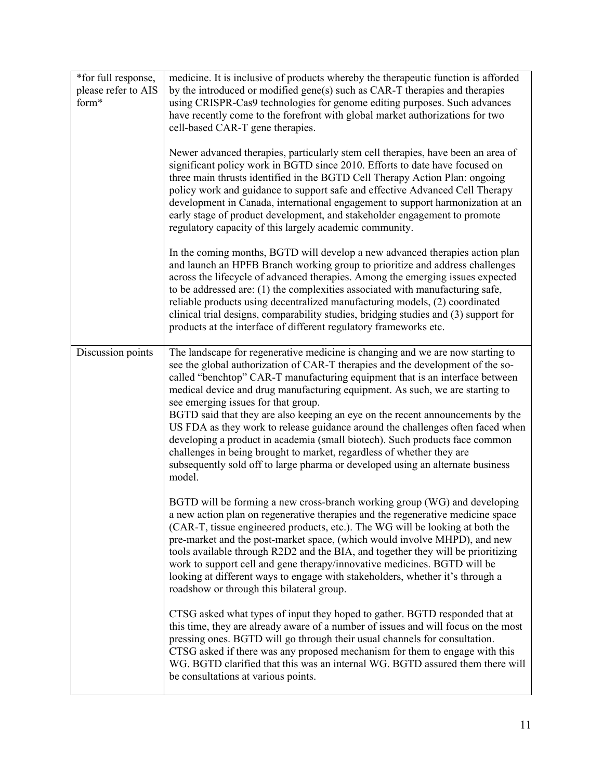| *for full response,<br>please refer to AIS<br>form* | medicine. It is inclusive of products whereby the therapeutic function is afforded<br>by the introduced or modified gene(s) such as CAR-T therapies and therapies<br>using CRISPR-Cas9 technologies for genome editing purposes. Such advances<br>have recently come to the forefront with global market authorizations for two<br>cell-based CAR-T gene therapies.<br>Newer advanced therapies, particularly stem cell therapies, have been an area of<br>significant policy work in BGTD since 2010. Efforts to date have focused on<br>three main thrusts identified in the BGTD Cell Therapy Action Plan: ongoing<br>policy work and guidance to support safe and effective Advanced Cell Therapy<br>development in Canada, international engagement to support harmonization at an<br>early stage of product development, and stakeholder engagement to promote<br>regulatory capacity of this largely academic community. |
|-----------------------------------------------------|---------------------------------------------------------------------------------------------------------------------------------------------------------------------------------------------------------------------------------------------------------------------------------------------------------------------------------------------------------------------------------------------------------------------------------------------------------------------------------------------------------------------------------------------------------------------------------------------------------------------------------------------------------------------------------------------------------------------------------------------------------------------------------------------------------------------------------------------------------------------------------------------------------------------------------|
|                                                     | In the coming months, BGTD will develop a new advanced therapies action plan<br>and launch an HPFB Branch working group to prioritize and address challenges<br>across the lifecycle of advanced therapies. Among the emerging issues expected<br>to be addressed are: (1) the complexities associated with manufacturing safe,<br>reliable products using decentralized manufacturing models, (2) coordinated<br>clinical trial designs, comparability studies, bridging studies and (3) support for<br>products at the interface of different regulatory frameworks etc.                                                                                                                                                                                                                                                                                                                                                      |
| Discussion points                                   | The landscape for regenerative medicine is changing and we are now starting to<br>see the global authorization of CAR-T therapies and the development of the so-<br>called "benchtop" CAR-T manufacturing equipment that is an interface between<br>medical device and drug manufacturing equipment. As such, we are starting to<br>see emerging issues for that group.<br>BGTD said that they are also keeping an eye on the recent announcements by the<br>US FDA as they work to release guidance around the challenges often faced when<br>developing a product in academia (small biotech). Such products face common<br>challenges in being brought to market, regardless of whether they are<br>subsequently sold off to large pharma or developed using an alternate business<br>model.                                                                                                                                 |
|                                                     | BGTD will be forming a new cross-branch working group (WG) and developing<br>a new action plan on regenerative therapies and the regenerative medicine space<br>(CAR-T, tissue engineered products, etc.). The WG will be looking at both the<br>pre-market and the post-market space, (which would involve MHPD), and new<br>tools available through R2D2 and the BIA, and together they will be prioritizing<br>work to support cell and gene therapy/innovative medicines. BGTD will be<br>looking at different ways to engage with stakeholders, whether it's through a<br>roadshow or through this bilateral group.                                                                                                                                                                                                                                                                                                        |
|                                                     | CTSG asked what types of input they hoped to gather. BGTD responded that at<br>this time, they are already aware of a number of issues and will focus on the most<br>pressing ones. BGTD will go through their usual channels for consultation.<br>CTSG asked if there was any proposed mechanism for them to engage with this<br>WG. BGTD clarified that this was an internal WG. BGTD assured them there will<br>be consultations at various points.                                                                                                                                                                                                                                                                                                                                                                                                                                                                          |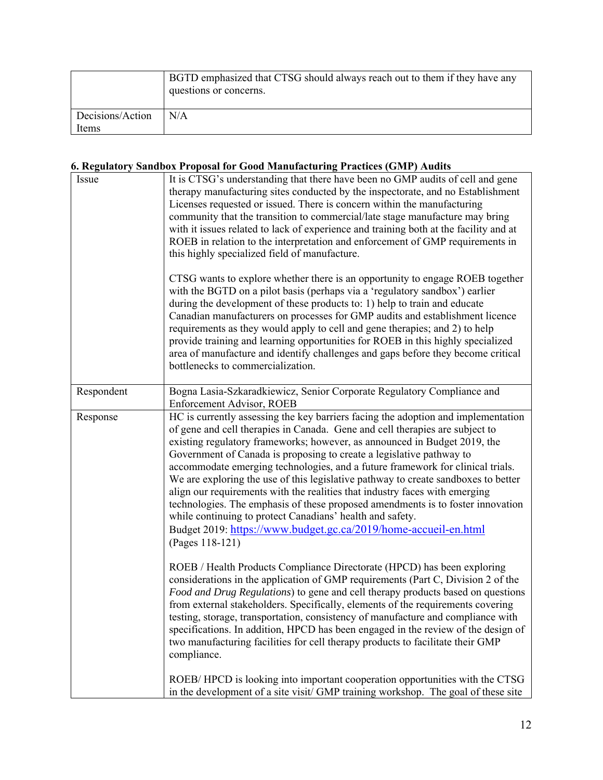|                  | BGTD emphasized that CTSG should always reach out to them if they have any<br>questions or concerns. |
|------------------|------------------------------------------------------------------------------------------------------|
| Decisions/Action | N/A                                                                                                  |
| Items            |                                                                                                      |

# **6. Regulatory Sandbox Proposal for Good Manufacturing Practices (GMP) Audits**

|  | Issue      | It is CTSG's understanding that there have been no GMP audits of cell and gene<br>therapy manufacturing sites conducted by the inspectorate, and no Establishment<br>Licenses requested or issued. There is concern within the manufacturing<br>community that the transition to commercial/late stage manufacture may bring<br>with it issues related to lack of experience and training both at the facility and at<br>ROEB in relation to the interpretation and enforcement of GMP requirements in<br>this highly specialized field of manufacture.                                                                                                                                                                                                                                                             |
|--|------------|---------------------------------------------------------------------------------------------------------------------------------------------------------------------------------------------------------------------------------------------------------------------------------------------------------------------------------------------------------------------------------------------------------------------------------------------------------------------------------------------------------------------------------------------------------------------------------------------------------------------------------------------------------------------------------------------------------------------------------------------------------------------------------------------------------------------|
|  |            | CTSG wants to explore whether there is an opportunity to engage ROEB together<br>with the BGTD on a pilot basis (perhaps via a 'regulatory sandbox') earlier<br>during the development of these products to: 1) help to train and educate<br>Canadian manufacturers on processes for GMP audits and establishment licence<br>requirements as they would apply to cell and gene therapies; and 2) to help<br>provide training and learning opportunities for ROEB in this highly specialized<br>area of manufacture and identify challenges and gaps before they become critical<br>bottlenecks to commercialization.                                                                                                                                                                                                |
|  | Respondent | Bogna Lasia-Szkaradkiewicz, Senior Corporate Regulatory Compliance and<br><b>Enforcement Advisor, ROEB</b>                                                                                                                                                                                                                                                                                                                                                                                                                                                                                                                                                                                                                                                                                                          |
|  | Response   | HC is currently assessing the key barriers facing the adoption and implementation<br>of gene and cell therapies in Canada. Gene and cell therapies are subject to<br>existing regulatory frameworks; however, as announced in Budget 2019, the<br>Government of Canada is proposing to create a legislative pathway to<br>accommodate emerging technologies, and a future framework for clinical trials.<br>We are exploring the use of this legislative pathway to create sandboxes to better<br>align our requirements with the realities that industry faces with emerging<br>technologies. The emphasis of these proposed amendments is to foster innovation<br>while continuing to protect Canadians' health and safety.<br>Budget 2019: https://www.budget.gc.ca/2019/home-accueil-en.html<br>(Pages 118-121) |
|  |            | ROEB / Health Products Compliance Directorate (HPCD) has been exploring<br>considerations in the application of GMP requirements (Part C, Division 2 of the<br>Food and Drug Regulations) to gene and cell therapy products based on questions<br>from external stakeholders. Specifically, elements of the requirements covering<br>testing, storage, transportation, consistency of manufacture and compliance with<br>specifications. In addition, HPCD has been engaged in the review of the design of<br>two manufacturing facilities for cell therapy products to facilitate their GMP<br>compliance.                                                                                                                                                                                                         |
|  |            | ROEB/HPCD is looking into important cooperation opportunities with the CTSG<br>in the development of a site visit/ GMP training workshop. The goal of these site                                                                                                                                                                                                                                                                                                                                                                                                                                                                                                                                                                                                                                                    |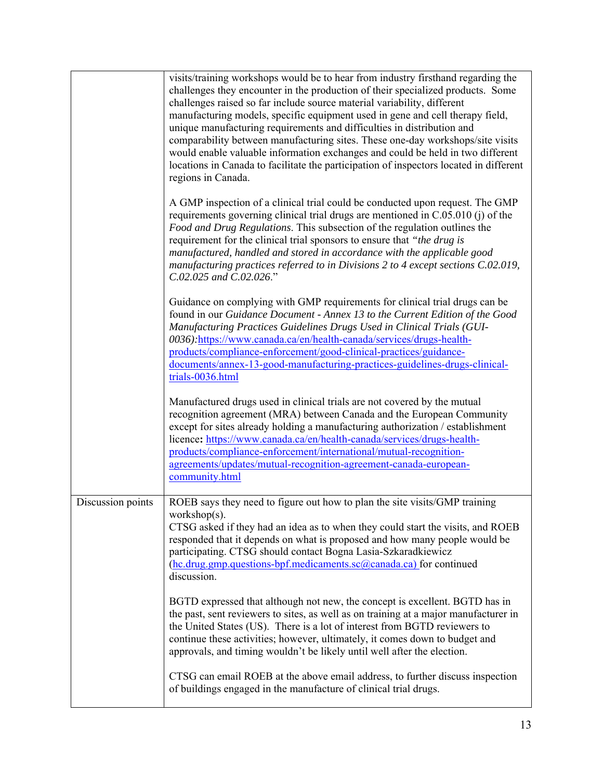|                   | visits/training workshops would be to hear from industry firsthand regarding the<br>challenges they encounter in the production of their specialized products. Some<br>challenges raised so far include source material variability, different<br>manufacturing models, specific equipment used in gene and cell therapy field,<br>unique manufacturing requirements and difficulties in distribution and<br>comparability between manufacturing sites. These one-day workshops/site visits<br>would enable valuable information exchanges and could be held in two different<br>locations in Canada to facilitate the participation of inspectors located in different<br>regions in Canada. |
|-------------------|-----------------------------------------------------------------------------------------------------------------------------------------------------------------------------------------------------------------------------------------------------------------------------------------------------------------------------------------------------------------------------------------------------------------------------------------------------------------------------------------------------------------------------------------------------------------------------------------------------------------------------------------------------------------------------------------------|
|                   | A GMP inspection of a clinical trial could be conducted upon request. The GMP<br>requirements governing clinical trial drugs are mentioned in C.05.010 (j) of the<br>Food and Drug Regulations. This subsection of the regulation outlines the<br>requirement for the clinical trial sponsors to ensure that "the drug is<br>manufactured, handled and stored in accordance with the applicable good<br>manufacturing practices referred to in Divisions 2 to 4 except sections C.02.019,<br>C.02.025 and C.02.026."                                                                                                                                                                          |
|                   | Guidance on complying with GMP requirements for clinical trial drugs can be<br>found in our Guidance Document - Annex 13 to the Current Edition of the Good<br>Manufacturing Practices Guidelines Drugs Used in Clinical Trials (GUI-<br>0036):https://www.canada.ca/en/health-canada/services/drugs-health-<br>products/compliance-enforcement/good-clinical-practices/guidance-<br>documents/annex-13-good-manufacturing-practices-guidelines-drugs-clinical-<br>trials-0036.html                                                                                                                                                                                                           |
|                   | Manufactured drugs used in clinical trials are not covered by the mutual<br>recognition agreement (MRA) between Canada and the European Community<br>except for sites already holding a manufacturing authorization / establishment<br>licence: https://www.canada.ca/en/health-canada/services/drugs-health-<br>products/compliance-enforcement/international/mutual-recognition-<br>agreements/updates/mutual-recognition-agreement-canada-european-<br>community.html                                                                                                                                                                                                                      |
| Discussion points | ROEB says they need to figure out how to plan the site visits/GMP training<br>workshop $(s)$ .<br>CTSG asked if they had an idea as to when they could start the visits, and ROEB<br>responded that it depends on what is proposed and how many people would be<br>participating. CTSG should contact Bogna Lasia-Szkaradkiewicz<br>(hc.drug.gmp.questions-bpf.medicaments.sc@canada.ca) for continued<br>discussion.                                                                                                                                                                                                                                                                         |
|                   | BGTD expressed that although not new, the concept is excellent. BGTD has in<br>the past, sent reviewers to sites, as well as on training at a major manufacturer in<br>the United States (US). There is a lot of interest from BGTD reviewers to<br>continue these activities; however, ultimately, it comes down to budget and<br>approvals, and timing wouldn't be likely until well after the election.                                                                                                                                                                                                                                                                                    |
|                   | CTSG can email ROEB at the above email address, to further discuss inspection<br>of buildings engaged in the manufacture of clinical trial drugs.                                                                                                                                                                                                                                                                                                                                                                                                                                                                                                                                             |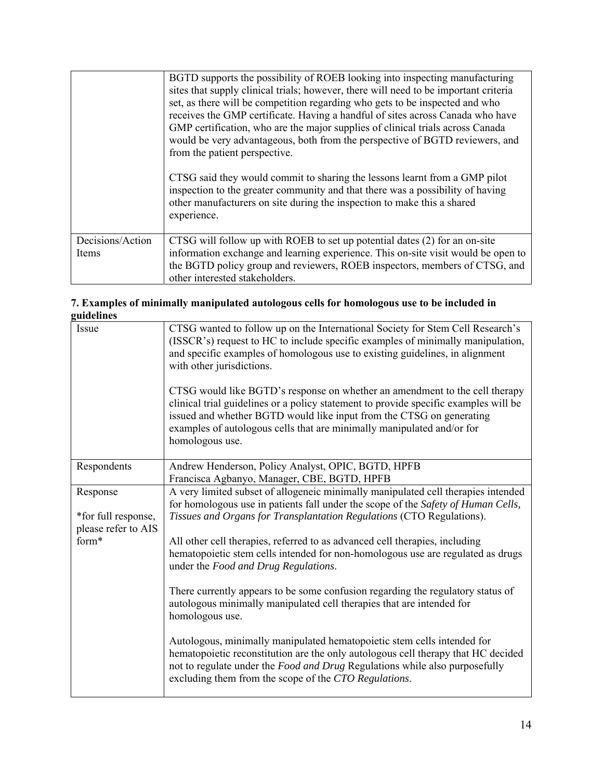|                           | BGTD supports the possibility of ROEB looking into inspecting manufacturing<br>sites that supply clinical trials; however, there will need to be important criteria<br>set, as there will be competition regarding who gets to be inspected and who<br>receives the GMP certificate. Having a handful of sites across Canada who have<br>GMP certification, who are the major supplies of clinical trials across Canada<br>would be very advantageous, both from the perspective of BGTD reviewers, and<br>from the patient perspective.<br>CTSG said they would commit to sharing the lessons learnt from a GMP pilot<br>inspection to the greater community and that there was a possibility of having<br>other manufacturers on site during the inspection to make this a shared<br>experience. |
|---------------------------|----------------------------------------------------------------------------------------------------------------------------------------------------------------------------------------------------------------------------------------------------------------------------------------------------------------------------------------------------------------------------------------------------------------------------------------------------------------------------------------------------------------------------------------------------------------------------------------------------------------------------------------------------------------------------------------------------------------------------------------------------------------------------------------------------|
| Decisions/Action<br>Items | CTSG will follow up with ROEB to set up potential dates (2) for an on-site<br>information exchange and learning experience. This on-site visit would be open to<br>the BGTD policy group and reviewers, ROEB inspectors, members of CTSG, and<br>other interested stakeholders.                                                                                                                                                                                                                                                                                                                                                                                                                                                                                                                    |

#### **7. Examples of minimally manipulated autologous cells for homologous use to be included in guidelines**

| Issue                                      | CTSG wanted to follow up on the International Society for Stem Cell Research's<br>(ISSCR's) request to HC to include specific examples of minimally manipulation,<br>and specific examples of homologous use to existing guidelines, in alignment<br>with other jurisdictions.                                                           |
|--------------------------------------------|------------------------------------------------------------------------------------------------------------------------------------------------------------------------------------------------------------------------------------------------------------------------------------------------------------------------------------------|
|                                            | CTSG would like BGTD's response on whether an amendment to the cell therapy<br>clinical trial guidelines or a policy statement to provide specific examples will be<br>issued and whether BGTD would like input from the CTSG on generating<br>examples of autologous cells that are minimally manipulated and/or for<br>homologous use. |
| Respondents                                | Andrew Henderson, Policy Analyst, OPIC, BGTD, HPFB<br>Francisca Agbanyo, Manager, CBE, BGTD, HPFB                                                                                                                                                                                                                                        |
| Response                                   | A very limited subset of allogeneic minimally manipulated cell therapies intended<br>for homologous use in patients fall under the scope of the Safety of Human Cells,                                                                                                                                                                   |
| *for full response,<br>please refer to AIS | Tissues and Organs for Transplantation Regulations (CTO Regulations).                                                                                                                                                                                                                                                                    |
| form*                                      | All other cell therapies, referred to as advanced cell therapies, including<br>hematopoietic stem cells intended for non-homologous use are regulated as drugs<br>under the Food and Drug Regulations.                                                                                                                                   |
|                                            | There currently appears to be some confusion regarding the regulatory status of<br>autologous minimally manipulated cell therapies that are intended for<br>homologous use.                                                                                                                                                              |
|                                            | Autologous, minimally manipulated hematopoietic stem cells intended for<br>hematopoietic reconstitution are the only autologous cell therapy that HC decided<br>not to regulate under the Food and Drug Regulations while also purposefully<br>excluding them from the scope of the CTO Regulations.                                     |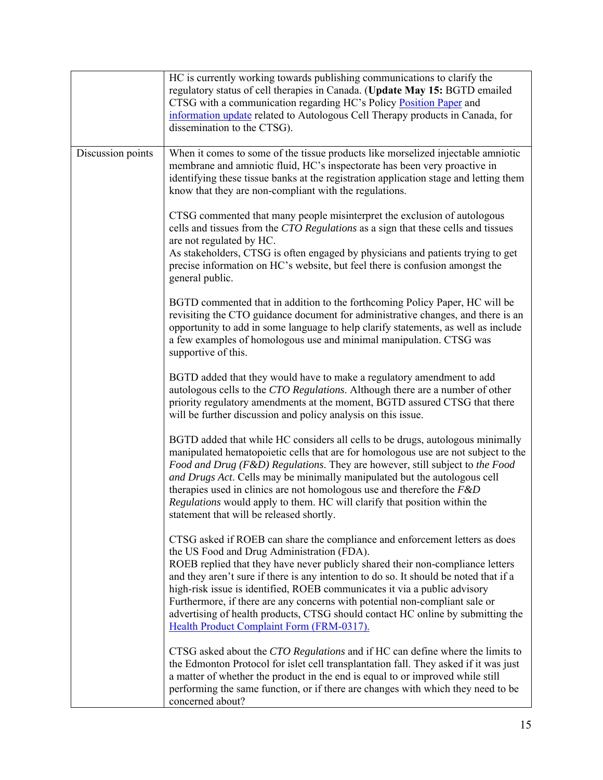|                   | HC is currently working towards publishing communications to clarify the<br>regulatory status of cell therapies in Canada. (Update May 15: BGTD emailed<br>CTSG with a communication regarding HC's Policy Position Paper and<br>information update related to Autologous Cell Therapy products in Canada, for<br>dissemination to the CTSG).                                                                                                                                                                                                                                                    |
|-------------------|--------------------------------------------------------------------------------------------------------------------------------------------------------------------------------------------------------------------------------------------------------------------------------------------------------------------------------------------------------------------------------------------------------------------------------------------------------------------------------------------------------------------------------------------------------------------------------------------------|
| Discussion points | When it comes to some of the tissue products like morselized injectable amniotic<br>membrane and amniotic fluid, HC's inspectorate has been very proactive in<br>identifying these tissue banks at the registration application stage and letting them<br>know that they are non-compliant with the regulations.                                                                                                                                                                                                                                                                                 |
|                   | CTSG commented that many people misinterpret the exclusion of autologous<br>cells and tissues from the CTO Regulations as a sign that these cells and tissues<br>are not regulated by HC.<br>As stakeholders, CTSG is often engaged by physicians and patients trying to get<br>precise information on HC's website, but feel there is confusion amongst the<br>general public.                                                                                                                                                                                                                  |
|                   | BGTD commented that in addition to the forthcoming Policy Paper, HC will be<br>revisiting the CTO guidance document for administrative changes, and there is an<br>opportunity to add in some language to help clarify statements, as well as include<br>a few examples of homologous use and minimal manipulation. CTSG was<br>supportive of this.                                                                                                                                                                                                                                              |
|                   | BGTD added that they would have to make a regulatory amendment to add<br>autologous cells to the CTO Regulations. Although there are a number of other<br>priority regulatory amendments at the moment, BGTD assured CTSG that there<br>will be further discussion and policy analysis on this issue.                                                                                                                                                                                                                                                                                            |
|                   | BGTD added that while HC considers all cells to be drugs, autologous minimally<br>manipulated hematopoietic cells that are for homologous use are not subject to the<br>Food and Drug (F&D) Regulations. They are however, still subject to the Food<br>and Drugs Act. Cells may be minimally manipulated but the autologous cell<br>therapies used in clinics are not homologous use and therefore the $F\&D$<br>Regulations would apply to them. HC will clarify that position within the<br>statement that will be released shortly.                                                          |
|                   | CTSG asked if ROEB can share the compliance and enforcement letters as does<br>the US Food and Drug Administration (FDA).<br>ROEB replied that they have never publicly shared their non-compliance letters<br>and they aren't sure if there is any intention to do so. It should be noted that if a<br>high-risk issue is identified, ROEB communicates it via a public advisory<br>Furthermore, if there are any concerns with potential non-compliant sale or<br>advertising of health products, CTSG should contact HC online by submitting the<br>Health Product Complaint Form (FRM-0317). |
|                   | CTSG asked about the CTO Regulations and if HC can define where the limits to<br>the Edmonton Protocol for islet cell transplantation fall. They asked if it was just<br>a matter of whether the product in the end is equal to or improved while still<br>performing the same function, or if there are changes with which they need to be<br>concerned about?                                                                                                                                                                                                                                  |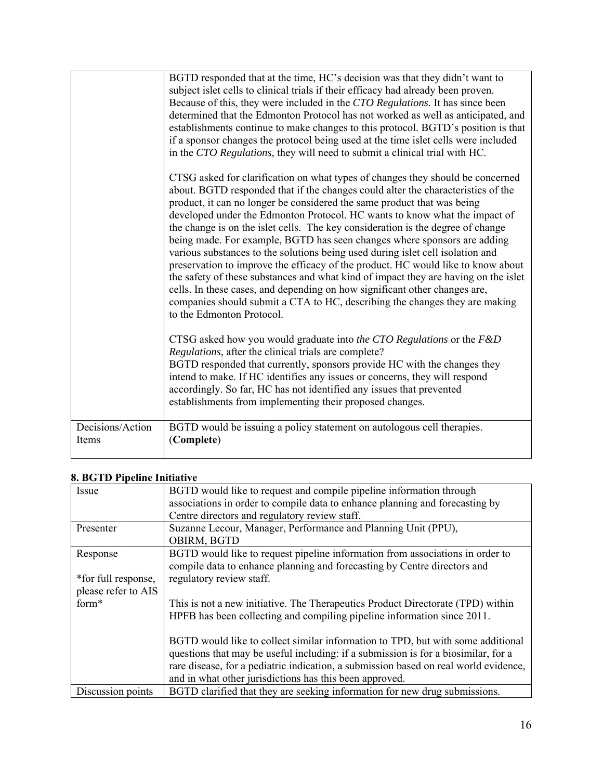|                           | BGTD responded that at the time, HC's decision was that they didn't want to<br>subject islet cells to clinical trials if their efficacy had already been proven.<br>Because of this, they were included in the CTO Regulations. It has since been<br>determined that the Edmonton Protocol has not worked as well as anticipated, and<br>establishments continue to make changes to this protocol. BGTD's position is that<br>if a sponsor changes the protocol being used at the time islet cells were included<br>in the CTO Regulations, they will need to submit a clinical trial with HC.                                                                                                                                                                                                                                                                                                                                                    |
|---------------------------|---------------------------------------------------------------------------------------------------------------------------------------------------------------------------------------------------------------------------------------------------------------------------------------------------------------------------------------------------------------------------------------------------------------------------------------------------------------------------------------------------------------------------------------------------------------------------------------------------------------------------------------------------------------------------------------------------------------------------------------------------------------------------------------------------------------------------------------------------------------------------------------------------------------------------------------------------|
|                           | CTSG asked for clarification on what types of changes they should be concerned<br>about. BGTD responded that if the changes could alter the characteristics of the<br>product, it can no longer be considered the same product that was being<br>developed under the Edmonton Protocol. HC wants to know what the impact of<br>the change is on the islet cells. The key consideration is the degree of change<br>being made. For example, BGTD has seen changes where sponsors are adding<br>various substances to the solutions being used during islet cell isolation and<br>preservation to improve the efficacy of the product. HC would like to know about<br>the safety of these substances and what kind of impact they are having on the islet<br>cells. In these cases, and depending on how significant other changes are,<br>companies should submit a CTA to HC, describing the changes they are making<br>to the Edmonton Protocol. |
|                           | CTSG asked how you would graduate into the CTO Regulations or the F&D<br>Regulations, after the clinical trials are complete?<br>BGTD responded that currently, sponsors provide HC with the changes they<br>intend to make. If HC identifies any issues or concerns, they will respond<br>accordingly. So far, HC has not identified any issues that prevented<br>establishments from implementing their proposed changes.                                                                                                                                                                                                                                                                                                                                                                                                                                                                                                                       |
| Decisions/Action<br>Items | BGTD would be issuing a policy statement on autologous cell therapies.<br>(Complete)                                                                                                                                                                                                                                                                                                                                                                                                                                                                                                                                                                                                                                                                                                                                                                                                                                                              |

# **8. BGTD Pipeline Initiative**

| Issue               | BGTD would like to request and compile pipeline information through                  |
|---------------------|--------------------------------------------------------------------------------------|
|                     | associations in order to compile data to enhance planning and forecasting by         |
|                     | Centre directors and regulatory review staff.                                        |
| Presenter           | Suzanne Lecour, Manager, Performance and Planning Unit (PPU),                        |
|                     | OBIRM, BGTD                                                                          |
| Response            | BGTD would like to request pipeline information from associations in order to        |
|                     | compile data to enhance planning and forecasting by Centre directors and             |
| *for full response, | regulatory review staff.                                                             |
| please refer to AIS |                                                                                      |
| form*               | This is not a new initiative. The Therapeutics Product Directorate (TPD) within      |
|                     | HPFB has been collecting and compiling pipeline information since 2011.              |
|                     |                                                                                      |
|                     | BGTD would like to collect similar information to TPD, but with some additional      |
|                     | questions that may be useful including: if a submission is for a biosimilar, for a   |
|                     | rare disease, for a pediatric indication, a submission based on real world evidence, |
|                     | and in what other jurisdictions has this been approved.                              |
| Discussion points   | BGTD clarified that they are seeking information for new drug submissions.           |